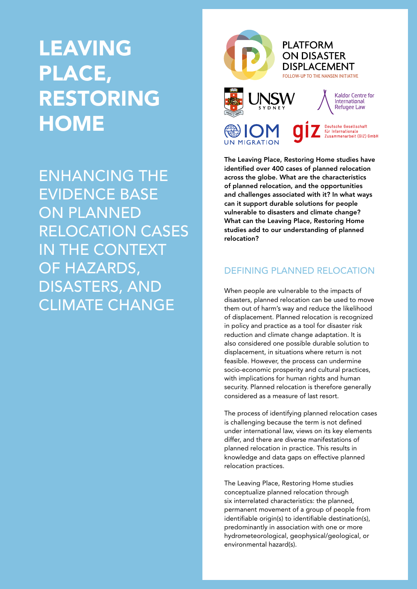# LEAVING PLACE, RESTORING **HOME**

ENHANCING THE EVIDENCE BASE ON PLANNED RELOCATION CASES IN THE CONTEXT OF HAZARDS, DISASTERS, AND CLIMATE CHANGE



The Leaving Place, Restoring Home studies have identified over 400 cases of planned relocation across the globe. What are the characteristics of planned relocation, and the opportunities and challenges associated with it? In what ways can it support durable solutions for people vulnerable to disasters and climate change? What can the Leaving Place, Restoring Home studies add to our understanding of planned relocation?

# DEFINING PLANNED RELOCATION

When people are vulnerable to the impacts of disasters, planned relocation can be used to move them out of harm's way and reduce the likelihood of displacement. Planned relocation is recognized in policy and practice as a tool for disaster risk reduction and climate change adaptation. It is also considered one possible durable solution to displacement, in situations where return is not feasible. However, the process can undermine socio-economic prosperity and cultural practices, with implications for human rights and human security. Planned relocation is therefore generally considered as a measure of last resort.

The process of identifying planned relocation cases is challenging because the term is not defined under international law, views on its key elements differ, and there are diverse manifestations of planned relocation in practice. This results in knowledge and data gaps on effective planned relocation practices.

The Leaving Place, Restoring Home studies conceptualize planned relocation through six interrelated characteristics: the planned, permanent movement of a group of people from identifiable origin(s) to identifiable destination(s), predominantly in association with one or more hydrometeorological, geophysical/geological, or environmental hazard(s).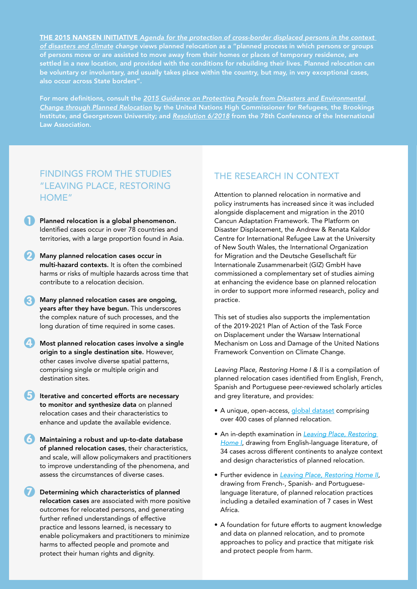THE 2015 NANSEN INITIATIVE *[Agenda for the protection of cross-border displaced persons in the context](https://disasterdisplacement.org/wp-content/uploads/2014/08/EN_Protection_Agenda_Volume_I_-low_res.pdf)  [of disasters and climate](https://disasterdisplacement.org/wp-content/uploads/2014/08/EN_Protection_Agenda_Volume_I_-low_res.pdf) change* views planned relocation as a "planned process in which persons or groups of persons move or are assisted to move away from their homes or places of temporary residence, are settled in a new location, and provided with the conditions for rebuilding their lives. Planned relocation can be voluntary or involuntary, and usually takes place within the country, but may, in very exceptional cases, also occur across State borders".

For more definitions, consult the *[2015 Guidance on Protecting People from Disasters and Environmental](https://www.unhcr.org/protection/environment/562f798d9/planned-relocation-guidance-october-2015.html)  [Change through Planned Relocation](https://www.unhcr.org/protection/environment/562f798d9/planned-relocation-guidance-october-2015.html)* by the United Nations High Commissioner for Refugees, the Brookings Institute, and Georgetown University; and *[Resolution 6/2018](https://www.ila-hq.org/images/ILA/Resolutions/ILAResolution_6_2018_SeaLevelRise_SydneyDeclaration.pdf)* from the 78th Conference of the International Law Association.

# FINDINGS FROM THE STUDIES "LEAVING PLACE, RESTORING HOME"

Planned relocation is a global phenomenon. Identified cases occur in over 78 countries and territories, with a large proportion found in Asia.  $\overline{\textbf{0}}$ 

- **2** Many planned relocation cases occur in multi-hazard contexts. It is often the combined harms or risks of multiple hazards across time that contribute to a relocation decision.
- **3** Many planned relocation cases are ongoing, years after they have begun. This underscores the complex nature of such processes, and the long duration of time required in some cases.
- 4 Most planned relocation cases involve a single origin to a single destination site. However, other cases involve diverse spatial patterns, comprising single or multiple origin and destination sites.
- **B** Iterative and concerted efforts are necessary to monitor and synthesize data on planned relocation cases and their characteristics to enhance and update the available evidence.
- Maintaining a robust and up-to-date database of planned relocation cases, their characteristics, and scale, will allow policymakers and practitioners to improve understanding of the phenomena, and assess the circumstances of diverse cases. 6
- Determining which characteristics of planned relocation cases are associated with more positive outcomes for relocated persons, and generating further refined understandings of effective practice and lessons learned, is necessary to enable policymakers and practitioners to minimize harms to affected people and promote and protect their human rights and dignity.  $\overline{\bm{O}}$

# THE RESEARCH IN CONTEXT

Attention to planned relocation in normative and policy instruments has increased since it was included alongside displacement and migration in the 2010 Cancun Adaptation Framework. The Platform on Disaster Displacement, the Andrew & Renata Kaldor Centre for International Refugee Law at the University of New South Wales, the International Organization for Migration and the Deutsche Gesellschaft für Internationale Zusammenarbeit (GIZ) GmbH have commissioned a complementary set of studies aiming at enhancing the evidence base on planned relocation in order to support more informed research, policy and practice.

This set of studies also supports the implementation of the 2019-2021 Plan of Action of the Task Force on Displacement under the Warsaw International Mechanism on Loss and Damage of the United Nations Framework Convention on Climate Change.

*Leaving Place, Restoring Home I & II* is a compilation of planned relocation cases identified from English, French, Spanish and Portuguese peer-reviewed scholarly articles and grey literature, and provides:

- A unique, open-access, [global dataset](https://disasterdisplacement.org/portfolio-item/global-dataset-leaving-place-restoring-home) comprising over 400 cases of planned relocation.
- An in-depth examination in *[Leaving Place, Restoring](https://disasterdisplacement.org/portfolio-item/leaving-place-restoring-home)  [Home I](https://disasterdisplacement.org/portfolio-item/leaving-place-restoring-home)*, drawing from English-language literature, of 34 cases across different continents to analyze context and design characteristics of planned relocation.
- Further evidence in *[Leaving Place, Restoring Home II](https://environmentalmigration.iom.int/sites/g/files/tmzbdl1411/files/documents/pub2021_183_r_2022_final-version-march-2022.pdf)*, drawing from French-, Spanish- and Portugueselanguage literature, of planned relocation practices including a detailed examination of 7 cases in West Africa.
- A foundation for future efforts to augment knowledge and data on planned relocation, and to promote approaches to policy and practice that mitigate risk and protect people from harm.